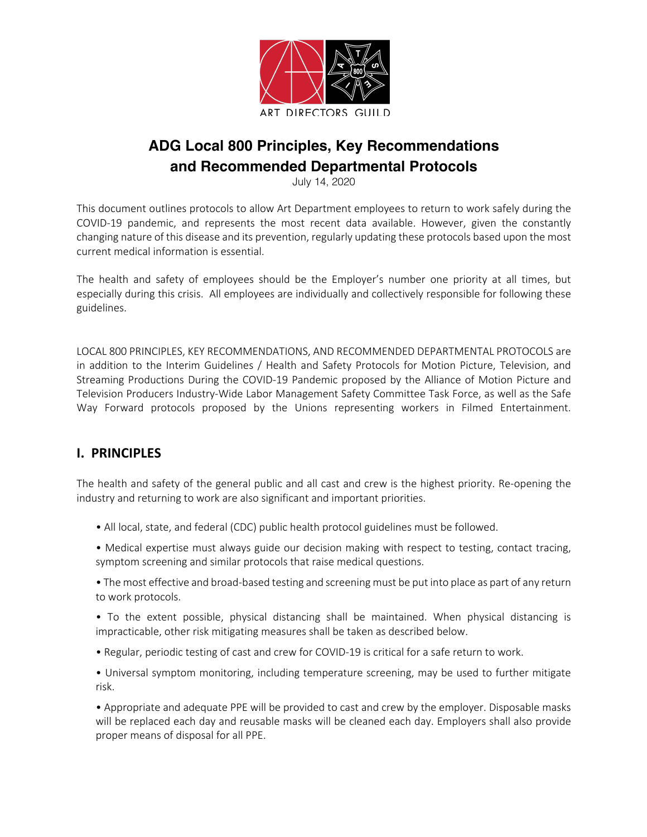

# **ADG Local 800 Principles, Key Recommendations and Recommended Departmental Protocols**

July 14, 2020

This document outlines protocols to allow Art Department employees to return to work safely during the COVID-19 pandemic, and represents the most recent data available. However, given the constantly changing nature of this disease and its prevention, regularly updating these protocols based upon the most current medical information is essential.

The health and safety of employees should be the Employer's number one priority at all times, but especially during this crisis. All employees are individually and collectively responsible for following these guidelines.

LOCAL 800 PRINCIPLES, KEY RECOMMENDATIONS, AND RECOMMENDED DEPARTMENTAL PROTOCOLS are in addition to the Interim Guidelines / Health and Safety Protocols for Motion Picture, Television, and Streaming Productions During the COVID-19 Pandemic proposed by the Alliance of Motion Picture and Television Producers Industry-Wide Labor Management Safety Committee Task Force, as well as the Safe Way Forward protocols proposed by the Unions representing workers in Filmed Entertainment.

## **I. PRINCIPLES**

The health and safety of the general public and all cast and crew is the highest priority. Re-opening the industry and returning to work are also significant and important priorities.

- All local, state, and federal (CDC) public health protocol guidelines must be followed.
- Medical expertise must always guide our decision making with respect to testing, contact tracing, symptom screening and similar protocols that raise medical questions.
- The most effective and broad-based testing and screening must be put into place as part of any return to work protocols.
- To the extent possible, physical distancing shall be maintained. When physical distancing is impracticable, other risk mitigating measures shall be taken as described below.
- Regular, periodic testing of cast and crew for COVID-19 is critical for a safe return to work.
- Universal symptom monitoring, including temperature screening, may be used to further mitigate risk.

• Appropriate and adequate PPE will be provided to cast and crew by the employer. Disposable masks will be replaced each day and reusable masks will be cleaned each day. Employers shall also provide proper means of disposal for all PPE.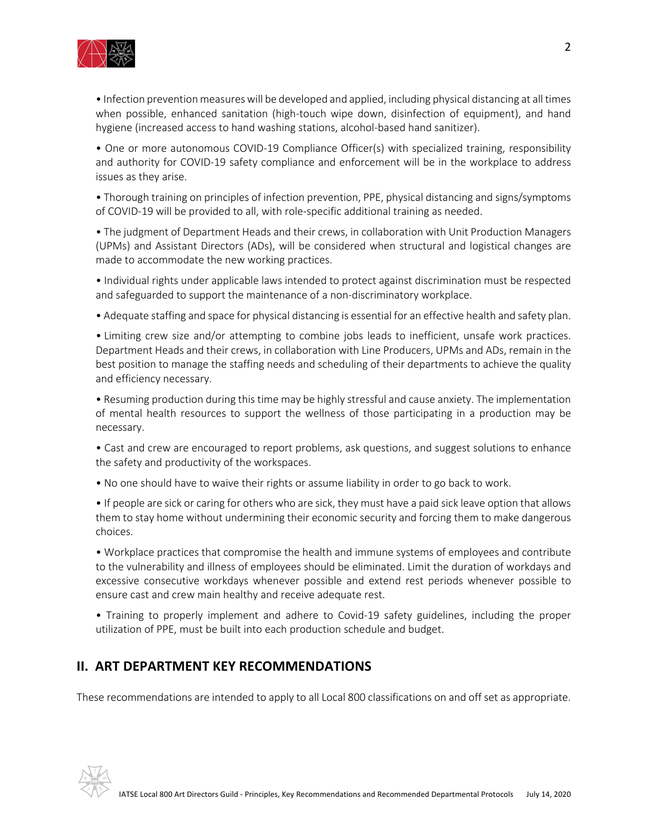

• Infection prevention measures will be developed and applied, including physical distancing at all times when possible, enhanced sanitation (high-touch wipe down, disinfection of equipment), and hand hygiene (increased access to hand washing stations, alcohol-based hand sanitizer).

• One or more autonomous COVID-19 Compliance Officer(s) with specialized training, responsibility and authority for COVID-19 safety compliance and enforcement will be in the workplace to address issues as they arise.

• Thorough training on principles of infection prevention, PPE, physical distancing and signs/symptoms of COVID-19 will be provided to all, with role-specific additional training as needed.

• The judgment of Department Heads and their crews, in collaboration with Unit Production Managers (UPMs) and Assistant Directors (ADs), will be considered when structural and logistical changes are made to accommodate the new working practices.

• Individual rights under applicable laws intended to protect against discrimination must be respected and safeguarded to support the maintenance of a non-discriminatory workplace.

• Adequate staffing and space for physical distancing is essential for an effective health and safety plan.

• Limiting crew size and/or attempting to combine jobs leads to inefficient, unsafe work practices. Department Heads and their crews, in collaboration with Line Producers, UPMs and ADs, remain in the best position to manage the staffing needs and scheduling of their departments to achieve the quality and efficiency necessary.

• Resuming production during this time may be highly stressful and cause anxiety. The implementation of mental health resources to support the wellness of those participating in a production may be necessary.

• Cast and crew are encouraged to report problems, ask questions, and suggest solutions to enhance the safety and productivity of the workspaces.

• No one should have to waive their rights or assume liability in order to go back to work.

• If people are sick or caring for others who are sick, they must have a paid sick leave option that allows them to stay home without undermining their economic security and forcing them to make dangerous choices.

• Workplace practices that compromise the health and immune systems of employees and contribute to the vulnerability and illness of employees should be eliminated. Limit the duration of workdays and excessive consecutive workdays whenever possible and extend rest periods whenever possible to ensure cast and crew main healthy and receive adequate rest.

• Training to properly implement and adhere to Covid-19 safety guidelines, including the proper utilization of PPE, must be built into each production schedule and budget.

## **II. ART DEPARTMENT KEY RECOMMENDATIONS**

These recommendations are intended to apply to all Local 800 classifications on and off set as appropriate.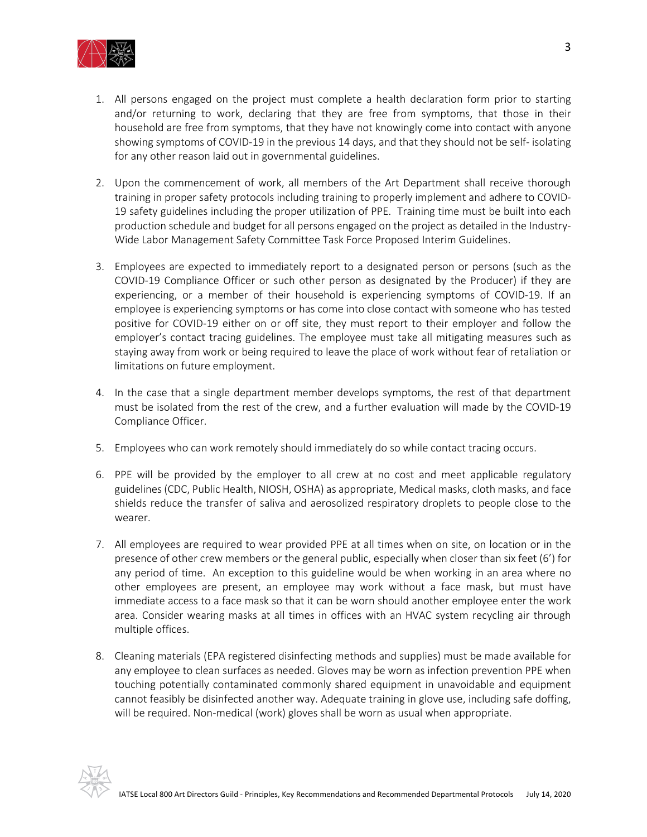

- 1. All persons engaged on the project must complete a health declaration form prior to starting and/or returning to work, declaring that they are free from symptoms, that those in their household are free from symptoms, that they have not knowingly come into contact with anyone showing symptoms of COVID-19 in the previous 14 days, and that they should not be self- isolating for any other reason laid out in governmental guidelines.
- 2. Upon the commencement of work, all members of the Art Department shall receive thorough training in proper safety protocols including training to properly implement and adhere to COVID-19 safety guidelines including the proper utilization of PPE. Training time must be built into each production schedule and budget for all persons engaged on the project as detailed in the Industry-Wide Labor Management Safety Committee Task Force Proposed Interim Guidelines.
- 3. Employees are expected to immediately report to a designated person or persons (such as the COVID-19 Compliance Officer or such other person as designated by the Producer) if they are experiencing, or a member of their household is experiencing symptoms of COVID-19. If an employee is experiencing symptoms or has come into close contact with someone who has tested positive for COVID-19 either on or off site, they must report to their employer and follow the employer's contact tracing guidelines. The employee must take all mitigating measures such as staying away from work or being required to leave the place of work without fear of retaliation or limitations on future employment.
- 4. In the case that a single department member develops symptoms, the rest of that department must be isolated from the rest of the crew, and a further evaluation will made by the COVID-19 Compliance Officer.
- 5. Employees who can work remotely should immediately do so while contact tracing occurs.
- 6. PPE will be provided by the employer to all crew at no cost and meet applicable regulatory guidelines (CDC, Public Health, NIOSH, OSHA) as appropriate, Medical masks, cloth masks, and face shields reduce the transfer of saliva and aerosolized respiratory droplets to people close to the wearer.
- 7. All employees are required to wear provided PPE at all times when on site, on location or in the presence of other crew members or the general public, especially when closer than six feet (6') for any period of time. An exception to this guideline would be when working in an area where no other employees are present, an employee may work without a face mask, but must have immediate access to a face mask so that it can be worn should another employee enter the work area. Consider wearing masks at all times in offices with an HVAC system recycling air through multiple offices.
- 8. Cleaning materials (EPA registered disinfecting methods and supplies) must be made available for any employee to clean surfaces as needed. Gloves may be worn as infection prevention PPE when touching potentially contaminated commonly shared equipment in unavoidable and equipment cannot feasibly be disinfected another way. Adequate training in glove use, including safe doffing, will be required. Non-medical (work) gloves shall be worn as usual when appropriate.

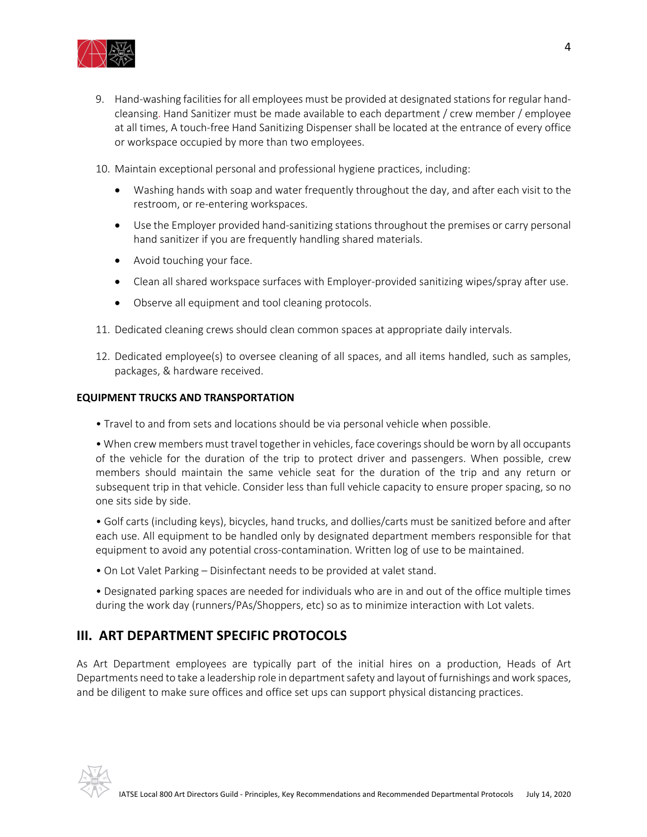

9. Hand-washing facilities for all employees must be provided at designated stations for regular handcleansing. Hand Sanitizer must be made available to each department / crew member / employee at all times, A touch-free Hand Sanitizing Dispenser shall be located at the entrance of every office or workspace occupied by more than two employees.

10. Maintain exceptional personal and professional hygiene practices, including:

- Washing hands with soap and water frequently throughout the day, and after each visit to the restroom, or re-entering workspaces.
- Use the Employer provided hand-sanitizing stations throughout the premises or carry personal hand sanitizer if you are frequently handling shared materials.
- Avoid touching your face.
- Clean all shared workspace surfaces with Employer-provided sanitizing wipes/spray after use.
- Observe all equipment and tool cleaning protocols.
- 11. Dedicated cleaning crews should clean common spaces at appropriate daily intervals.
- 12. Dedicated employee(s) to oversee cleaning of all spaces, and all items handled, such as samples, packages, & hardware received.

## **EQUIPMENT TRUCKS AND TRANSPORTATION**

• Travel to and from sets and locations should be via personal vehicle when possible.

• When crew members must travel together in vehicles, face coverings should be worn by all occupants of the vehicle for the duration of the trip to protect driver and passengers. When possible, crew members should maintain the same vehicle seat for the duration of the trip and any return or subsequent trip in that vehicle. Consider less than full vehicle capacity to ensure proper spacing, so no one sits side by side.

• Golf carts (including keys), bicycles, hand trucks, and dollies/carts must be sanitized before and after each use. All equipment to be handled only by designated department members responsible for that equipment to avoid any potential cross-contamination. Written log of use to be maintained.

- On Lot Valet Parking Disinfectant needs to be provided at valet stand.
- Designated parking spaces are needed for individuals who are in and out of the office multiple times during the work day (runners/PAs/Shoppers, etc) so as to minimize interaction with Lot valets.

## **III. ART DEPARTMENT SPECIFIC PROTOCOLS**

As Art Department employees are typically part of the initial hires on a production, Heads of Art Departments need to take a leadership role in department safety and layout of furnishings and work spaces, and be diligent to make sure offices and office set ups can support physical distancing practices.

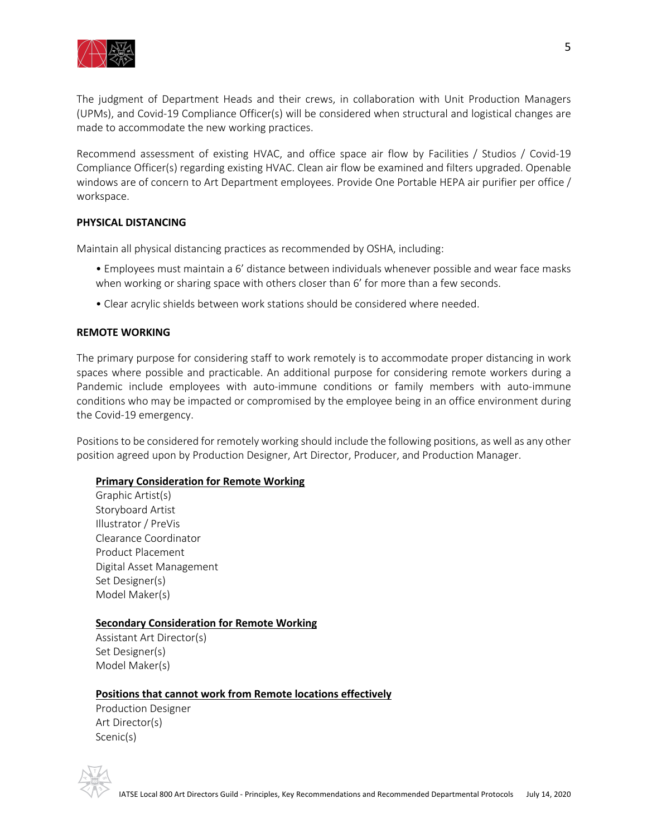

The judgment of Department Heads and their crews, in collaboration with Unit Production Managers (UPMs), and Covid-19 Compliance Officer(s) will be considered when structural and logistical changes are made to accommodate the new working practices.

Recommend assessment of existing HVAC, and office space air flow by Facilities / Studios / Covid-19 Compliance Officer(s) regarding existing HVAC. Clean air flow be examined and filters upgraded. Openable windows are of concern to Art Department employees. Provide One Portable HEPA air purifier per office / workspace.

### **PHYSICAL DISTANCING**

Maintain all physical distancing practices as recommended by OSHA, including:

- Employees must maintain a 6' distance between individuals whenever possible and wear face masks when working or sharing space with others closer than 6' for more than a few seconds.
- Clear acrylic shields between work stations should be considered where needed.

### **REMOTE WORKING**

The primary purpose for considering staff to work remotely is to accommodate proper distancing in work spaces where possible and practicable. An additional purpose for considering remote workers during a Pandemic include employees with auto-immune conditions or family members with auto-immune conditions who may be impacted or compromised by the employee being in an office environment during the Covid-19 emergency.

Positions to be considered for remotely working should include the following positions, as well as any other position agreed upon by Production Designer, Art Director, Producer, and Production Manager.

#### **Primary Consideration for Remote Working**

Graphic Artist(s) Storyboard Artist Illustrator / PreVis Clearance Coordinator Product Placement Digital Asset Management Set Designer(s) Model Maker(s)

## **Secondary Consideration for Remote Working**

Assistant Art Director(s) Set Designer(s) Model Maker(s)

## **Positions that cannot work from Remote locations effectively**

Production Designer Art Director(s) Scenic(s)

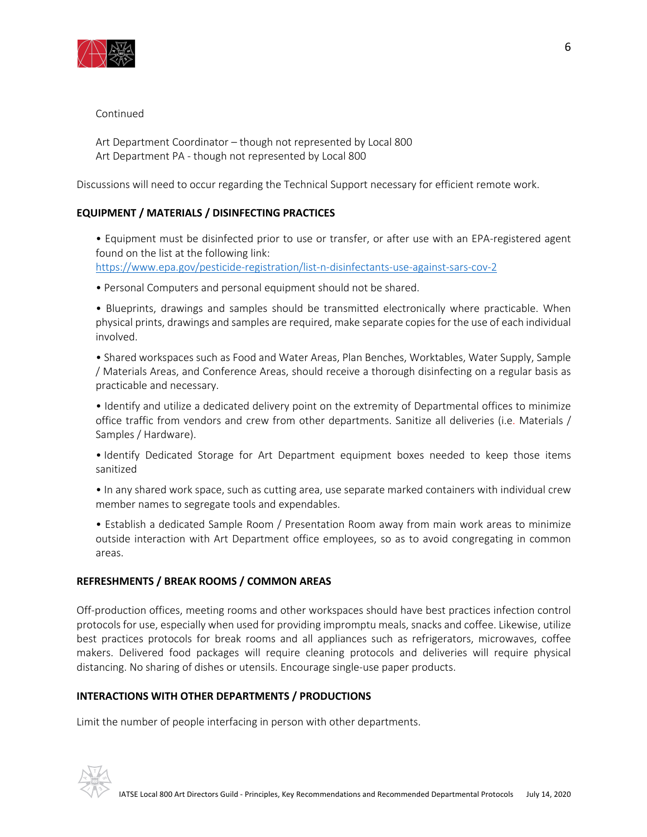

Continued

Art Department Coordinator – though not represented by Local 800 Art Department PA - though not represented by Local 800

Discussions will need to occur regarding the Technical Support necessary for efficient remote work.

## **EQUIPMENT / MATERIALS / DISINFECTING PRACTICES**

• Equipment must be disinfected prior to use or transfer, or after use with an EPA-registered agent found on the list at the following link:

https://www.epa.gov/pesticide-registration/list-n-disinfectants-use-against-sars-cov-2

- Personal Computers and personal equipment should not be shared.
- Blueprints, drawings and samples should be transmitted electronically where practicable. When physical prints, drawings and samples are required, make separate copies for the use of each individual involved.

• Shared workspaces such as Food and Water Areas, Plan Benches, Worktables, Water Supply, Sample / Materials Areas, and Conference Areas, should receive a thorough disinfecting on a regular basis as practicable and necessary.

• Identify and utilize a dedicated delivery point on the extremity of Departmental offices to minimize office traffic from vendors and crew from other departments. Sanitize all deliveries (i.e. Materials / Samples / Hardware).

• Identify Dedicated Storage for Art Department equipment boxes needed to keep those items sanitized

• In any shared work space, such as cutting area, use separate marked containers with individual crew member names to segregate tools and expendables.

• Establish a dedicated Sample Room / Presentation Room away from main work areas to minimize outside interaction with Art Department office employees, so as to avoid congregating in common areas.

## **REFRESHMENTS / BREAK ROOMS / COMMON AREAS**

Off-production offices, meeting rooms and other workspaces should have best practices infection control protocols for use, especially when used for providing impromptu meals, snacks and coffee. Likewise, utilize best practices protocols for break rooms and all appliances such as refrigerators, microwaves, coffee makers. Delivered food packages will require cleaning protocols and deliveries will require physical distancing. No sharing of dishes or utensils. Encourage single-use paper products.

## **INTERACTIONS WITH OTHER DEPARTMENTS / PRODUCTIONS**

Limit the number of people interfacing in person with other departments.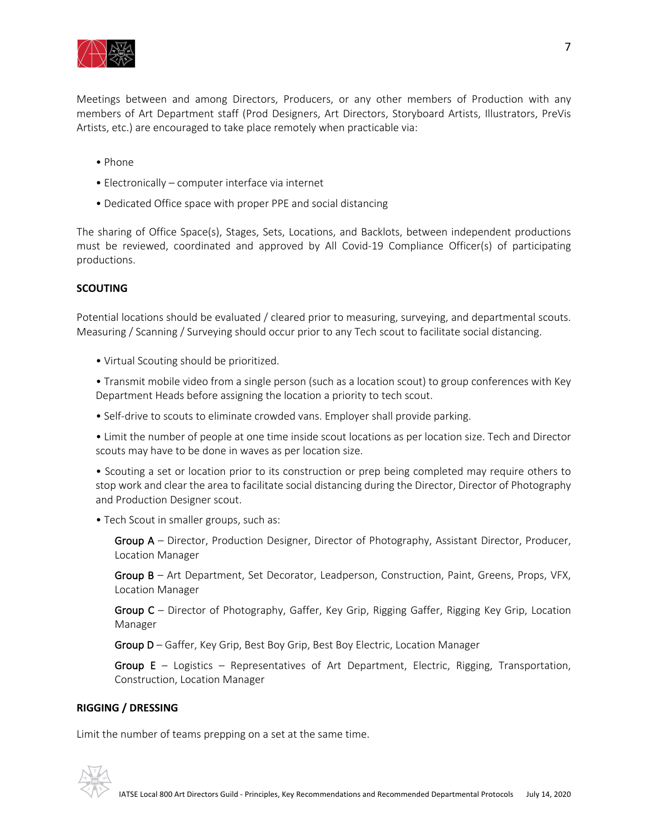

Meetings between and among Directors, Producers, or any other members of Production with any members of Art Department staff (Prod Designers, Art Directors, Storyboard Artists, Illustrators, PreVis Artists, etc.) are encouraged to take place remotely when practicable via:

- Phone
- Electronically computer interface via internet
- Dedicated Office space with proper PPE and social distancing

The sharing of Office Space(s), Stages, Sets, Locations, and Backlots, between independent productions must be reviewed, coordinated and approved by All Covid-19 Compliance Officer(s) of participating productions.

## **SCOUTING**

Potential locations should be evaluated / cleared prior to measuring, surveying, and departmental scouts. Measuring / Scanning / Surveying should occur prior to any Tech scout to facilitate social distancing.

• Virtual Scouting should be prioritized.

• Transmit mobile video from a single person (such as a location scout) to group conferences with Key Department Heads before assigning the location a priority to tech scout.

• Self-drive to scouts to eliminate crowded vans. Employer shall provide parking.

• Limit the number of people at one time inside scout locations as per location size. Tech and Director scouts may have to be done in waves as per location size.

• Scouting a set or location prior to its construction or prep being completed may require others to stop work and clear the area to facilitate social distancing during the Director, Director of Photography and Production Designer scout.

• Tech Scout in smaller groups, such as:

Group A – Director, Production Designer, Director of Photography, Assistant Director, Producer, Location Manager

Group B – Art Department, Set Decorator, Leadperson, Construction, Paint, Greens, Props, VFX, Location Manager

Group C – Director of Photography, Gaffer, Key Grip, Rigging Gaffer, Rigging Key Grip, Location Manager

Group D – Gaffer, Key Grip, Best Boy Grip, Best Boy Electric, Location Manager

Group E – Logistics – Representatives of Art Department, Electric, Rigging, Transportation, Construction, Location Manager

## **RIGGING / DRESSING**

Limit the number of teams prepping on a set at the same time.

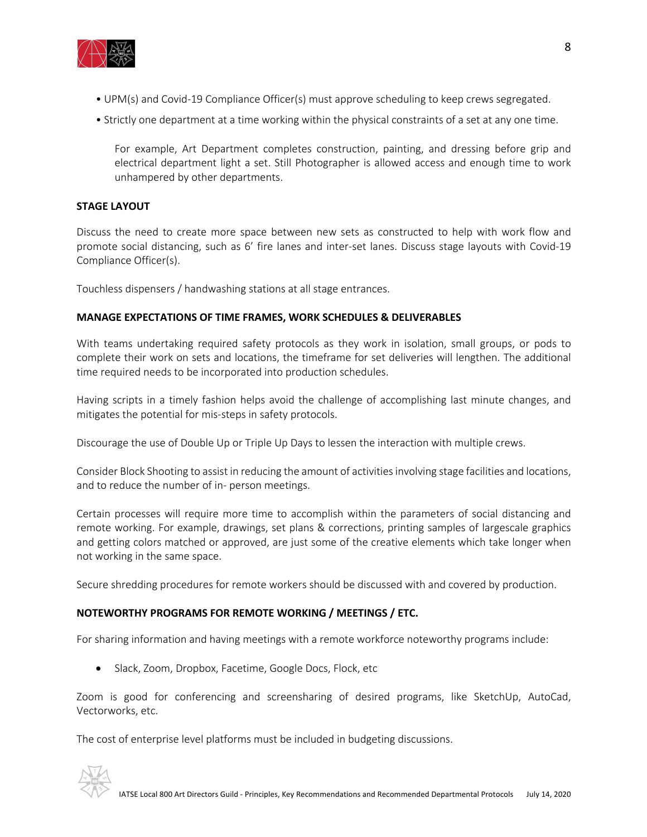

- UPM(s) and Covid-19 Compliance Officer(s) must approve scheduling to keep crews segregated.
- Strictly one department at a time working within the physical constraints of a set at any one time.

For example, Art Department completes construction, painting, and dressing before grip and electrical department light a set. Still Photographer is allowed access and enough time to work unhampered by other departments.

### **STAGE LAYOUT**

Discuss the need to create more space between new sets as constructed to help with work flow and promote social distancing, such as 6' fire lanes and inter-set lanes. Discuss stage layouts with Covid-19 Compliance Officer(s).

Touchless dispensers / handwashing stations at all stage entrances.

### **MANAGE EXPECTATIONS OF TIME FRAMES, WORK SCHEDULES & DELIVERABLES**

With teams undertaking required safety protocols as they work in isolation, small groups, or pods to complete their work on sets and locations, the timeframe for set deliveries will lengthen. The additional time required needs to be incorporated into production schedules.

Having scripts in a timely fashion helps avoid the challenge of accomplishing last minute changes, and mitigates the potential for mis-steps in safety protocols.

Discourage the use of Double Up or Triple Up Days to lessen the interaction with multiple crews.

Consider Block Shooting to assist in reducing the amount of activities involving stage facilities and locations, and to reduce the number of in- person meetings.

Certain processes will require more time to accomplish within the parameters of social distancing and remote working. For example, drawings, set plans & corrections, printing samples of largescale graphics and getting colors matched or approved, are just some of the creative elements which take longer when not working in the same space.

Secure shredding procedures for remote workers should be discussed with and covered by production.

#### **NOTEWORTHY PROGRAMS FOR REMOTE WORKING / MEETINGS / ETC.**

For sharing information and having meetings with a remote workforce noteworthy programs include:

• Slack, Zoom, Dropbox, Facetime, Google Docs, Flock, etc

Zoom is good for conferencing and screensharing of desired programs, like SketchUp, AutoCad, Vectorworks, etc.

The cost of enterprise level platforms must be included in budgeting discussions.



8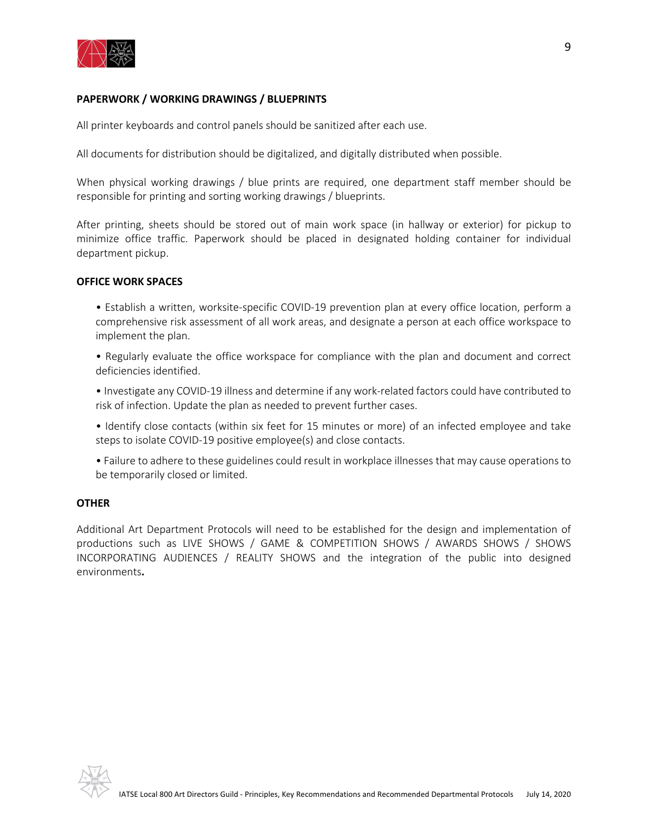

## **PAPERWORK / WORKING DRAWINGS / BLUEPRINTS**

All printer keyboards and control panels should be sanitized after each use.

All documents for distribution should be digitalized, and digitally distributed when possible.

When physical working drawings / blue prints are required, one department staff member should be responsible for printing and sorting working drawings / blueprints.

After printing, sheets should be stored out of main work space (in hallway or exterior) for pickup to minimize office traffic. Paperwork should be placed in designated holding container for individual department pickup.

### **OFFICE WORK SPACES**

- Establish a written, worksite-specific COVID-19 prevention plan at every office location, perform a comprehensive risk assessment of all work areas, and designate a person at each office workspace to implement the plan.
- Regularly evaluate the office workspace for compliance with the plan and document and correct deficiencies identified.
- Investigate any COVID-19 illness and determine if any work-related factors could have contributed to risk of infection. Update the plan as needed to prevent further cases.
- Identify close contacts (within six feet for 15 minutes or more) of an infected employee and take steps to isolate COVID-19 positive employee(s) and close contacts.
- Failure to adhere to these guidelines could result in workplace illnesses that may cause operations to be temporarily closed or limited.

## **OTHER**

Additional Art Department Protocols will need to be established for the design and implementation of productions such as LIVE SHOWS / GAME & COMPETITION SHOWS / AWARDS SHOWS / SHOWS INCORPORATING AUDIENCES / REALITY SHOWS and the integration of the public into designed environments**.**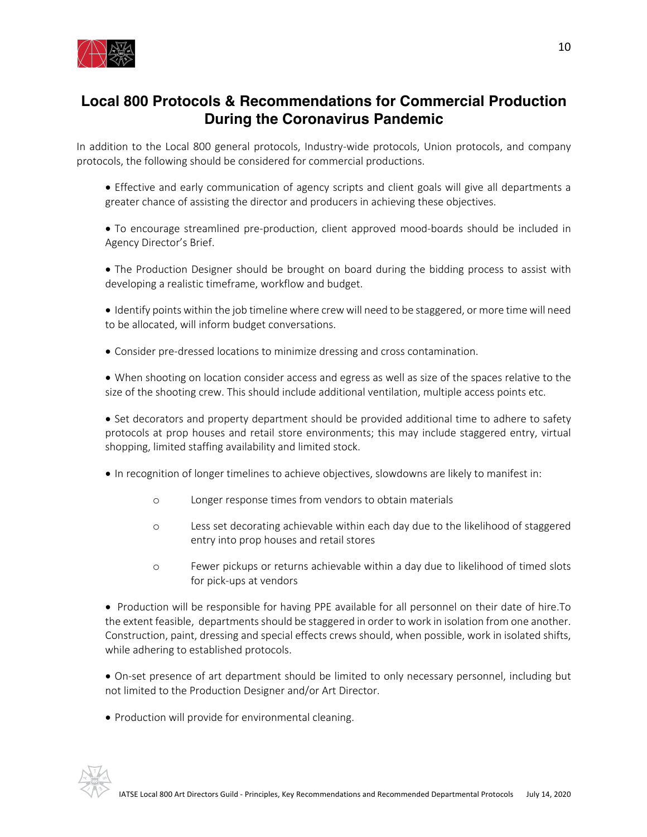

# **Local 800 Protocols & Recommendations for Commercial Production During the Coronavirus Pandemic**

In addition to the Local 800 general protocols, Industry-wide protocols, Union protocols, and company protocols, the following should be considered for commercial productions.

• Effective and early communication of agency scripts and client goals will give all departments a greater chance of assisting the director and producers in achieving these objectives.

• To encourage streamlined pre-production, client approved mood-boards should be included in Agency Director's Brief.

• The Production Designer should be brought on board during the bidding process to assist with developing a realistic timeframe, workflow and budget.

• Identify points within the job timeline where crew will need to be staggered, or more time will need to be allocated, will inform budget conversations.

• Consider pre-dressed locations to minimize dressing and cross contamination.

• When shooting on location consider access and egress as well as size of the spaces relative to the size of the shooting crew. This should include additional ventilation, multiple access points etc.

• Set decorators and property department should be provided additional time to adhere to safety protocols at prop houses and retail store environments; this may include staggered entry, virtual shopping, limited staffing availability and limited stock.

- In recognition of longer timelines to achieve objectives, slowdowns are likely to manifest in:
	- o Longer response times from vendors to obtain materials
	- o Less set decorating achievable within each day due to the likelihood of staggered entry into prop houses and retail stores
	- o Fewer pickups or returns achievable within a day due to likelihood of timed slots for pick-ups at vendors

• Production will be responsible for having PPE available for all personnel on their date of hire.To the extent feasible, departments should be staggered in order to work in isolation from one another. Construction, paint, dressing and special effects crews should, when possible, work in isolated shifts, while adhering to established protocols.

• On-set presence of art department should be limited to only necessary personnel, including but not limited to the Production Designer and/or Art Director.

• Production will provide for environmental cleaning.